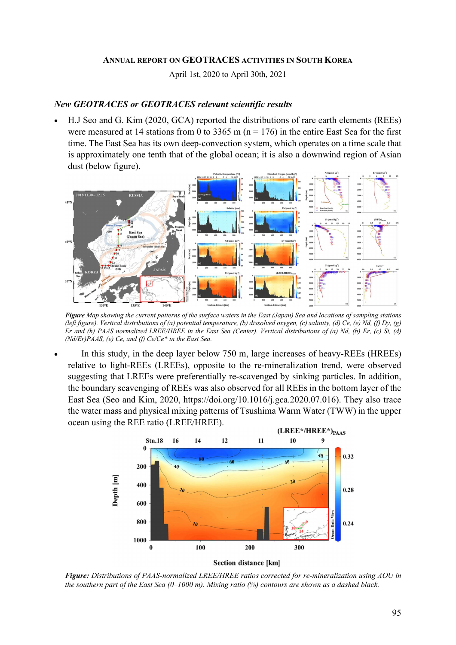## ANNUAL REPORT ON GEOTRACES ACTIVITIES IN SOUTH KOREA

April 1st, 2020 to April 30th, 2021

## New GEOTRACES or GEOTRACES relevant scientific results

 H.J Seo and G. Kim (2020, GCA) reported the distributions of rare earth elements (REEs) were measured at 14 stations from 0 to 3365 m ( $n = 176$ ) in the entire East Sea for the first time. The East Sea has its own deep-convection system, which operates on a time scale that is approximately one tenth that of the global ocean; it is also a downwind region of Asian dust (below figure).



Figure Map showing the current patterns of the surface waters in the East (Japan) Sea and locations of sampling stations (left figure). Vertical distributions of (a) potential temperature, (b) dissolved oxygen, (c) salinity, (d) Ce, (e) Nd, (f) Dy, (g) Er and (h) PAAS normalized LREE/HREE in the East Sea (Center). Vertical distributions of (a) Nd, (b) Er, (c) Si, (d)  $(Nd/Er)PAAS$ , (e) Ce, and (f) Ce/Ce\* in the East Sea.

 In this study, in the deep layer below 750 m, large increases of heavy-REEs (HREEs) relative to light-REEs (LREEs), opposite to the re-mineralization trend, were observed suggesting that LREEs were preferentially re-scavenged by sinking particles. In addition, the boundary scavenging of REEs was also observed for all REEs in the bottom layer of the East Sea (Seo and Kim, 2020, https://doi.org/10.1016/j.gca.2020.07.016). They also trace the water mass and physical mixing patterns of Tsushima Warm Water (TWW) in the upper ocean using the REE ratio (LREE/HREE).



Figure: Distributions of PAAS-normalized LREE/HREE ratios corrected for re-mineralization using AOU in the southern part of the East Sea  $(0-1000 \text{ m})$ . Mixing ratio  $(%)$  contours are shown as a dashed black.